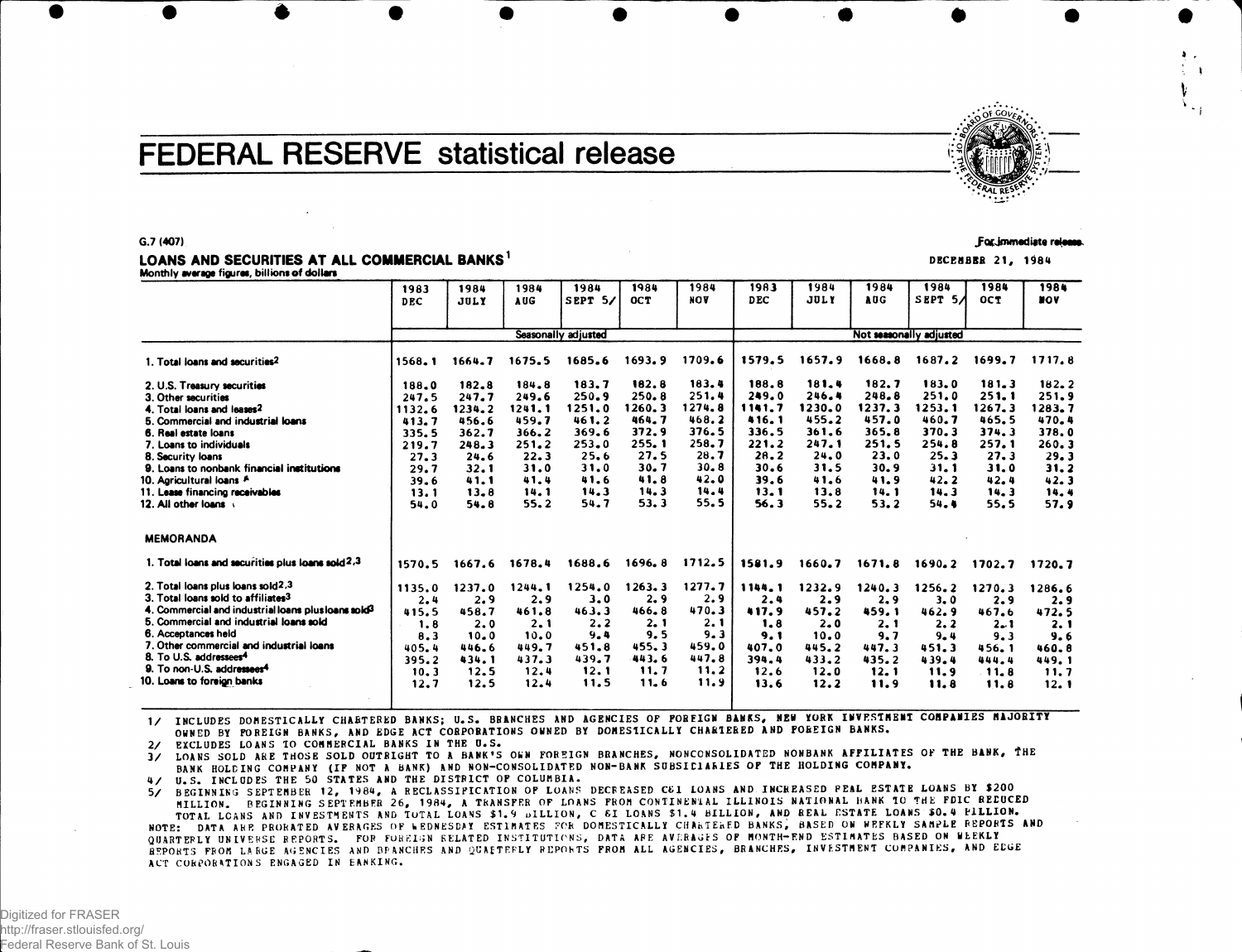# **FEDERAL RESERVE statistical release**

## LOANS AND SECURITIES AT ALL COMMERCIAL BANKS<sup>1</sup> DECEMBER 21, 1984

Monthly average figures, billions of dollars

|                                                                              | 1983<br>DEC         | 1984<br>JULY | 1984<br>AUG  | 1984<br>SEPT 5/ | 1984<br><b>OCT</b> | 1984<br><b>NOV</b> | 1983<br><b>DEC</b> | 1984<br><b>JULY</b>     | 1984<br>AUG  | 1984<br>SEPT 5A | 1984<br><b>OCT</b> | 1984<br><b>NOV</b> |  |  |
|------------------------------------------------------------------------------|---------------------|--------------|--------------|-----------------|--------------------|--------------------|--------------------|-------------------------|--------------|-----------------|--------------------|--------------------|--|--|
|                                                                              |                     |              |              |                 |                    |                    |                    |                         |              |                 |                    |                    |  |  |
|                                                                              | Seasonally adjusted |              |              |                 |                    |                    |                    | Not seasonally adjusted |              |                 |                    |                    |  |  |
| 1. Total loans and securities <sup>2</sup>                                   | 1568.1              | 1664.7       | 1675.5       | 1685.6          | 1693.9             | 1709.6             | 1579.5             | 1657.9                  | 1668.8       | 1687.2          | 1699.7             | 1717.8             |  |  |
| 2. U.S. Treasury securities                                                  | 188.0               | 182.8        | 184.8        | 183.7           | 182.8              | 183.4              | 188.8              | 181.4                   | 182.7        | 183.0           | 181.3              | 182.2              |  |  |
| 3. Other securities                                                          | 247.5               | 247.7        | 249.6        | 250.9           | 250.8              | 251.4              | 249.0              | 246.4                   | 248.8        | 251.0           | 251.1              | 251.9              |  |  |
| 4. Total loans and leases2                                                   | 1132.6              | 1234.2       | 1241.1       | 1251.0          | 1260.3             | 1274.8             | 1141.7             | 1230.0                  | 1237.3       | 1253.1          | 1267.3             | 1283.7             |  |  |
| 5. Commercial and industrial loans                                           | 413.7               | 456.6        | 459.7        | 461.2           | 464.7              | 468.2              | 416.1              | 455.2                   | 457.0        | 460.7           | 465.5              | 470.4              |  |  |
| 6. Real estate loans                                                         | 335.5               | 362.7        | 366.2        | 369.6           | 372.9              | 376.5              | 336.5              | 361.6                   | 365.8        | 370.3           | 374.3              | 378.0              |  |  |
| 7. Loans to individuals                                                      | 219.7               | 248.3        | 251.2        | 253.0           | 255.1              | 258.7              | 221.2              | 247.1                   | 251.5        | 254.8           | 257.1              | 260.3              |  |  |
| 8. Security loans                                                            | 27.3                | 24.6         | 22.3         | 25.6            | 27.5<br>30.7       | 28.7<br>30.8       | 28.2               | 24.0                    | 23.0         | 25.3            | 27.3               | 29.3               |  |  |
| 9. Loans to nonbank financial institutions                                   | 29.7                | 32.1         | 31.0<br>41.4 | 31.0<br>41.6    | 41.8               | 42.0               | 30.6<br>39.6       | 31.5<br>41.6            | 30.9<br>41.9 | 31.1<br>42.2    | 31.0<br>42.4       | 31.2               |  |  |
| 10. Agricultural loans A<br>11. Lease financing receivables                  | 39.6                | 41.1<br>13.8 | 14.1         | 14.3            | 14.3               | 14.4               | 13.1               | 13.8                    | 14.1         | 14.3            | 14.3               | 42.3<br>14.4       |  |  |
| 12. All other loans                                                          | 13.1<br>54.0        | 54.8         | 55.2         | 54.7            | 53.3               | 55.5               | 56.3               | 55.2                    | 53.2         | 54.4            | 55.5               | 57.9               |  |  |
|                                                                              |                     |              |              |                 |                    |                    |                    |                         |              |                 |                    |                    |  |  |
| <b>MEMORANDA</b>                                                             |                     |              |              |                 |                    |                    |                    |                         |              |                 |                    |                    |  |  |
| 1. Total loans and securities plus loans sold 2.3                            | 1570.5              | 1667.6       | 1678.4       | 1688.6          | 1696.8             | 1712.5             | 1581.9             | 1660.7                  | 1671.8       | 1690.2          | 1702.7             | 1720.7             |  |  |
| 2. Total loans plus loans sold2.3                                            | 1135.0              | 1237.0       | 1244.1       | 1254.0          | 1263.3             | 1277.7             | 1144.1             | 1232.9                  | 1240.3       | 1256.2          | 1270.3             | 1286.6             |  |  |
| 3. Total loans sold to affiliates <sup>3</sup>                               | 2.4                 | 2.9          | 2.9          | 3.0             | 2.9                | 2.9                | 2.4                | 2.9                     | 2.9          | 3.0             | 2.9                | 2.9                |  |  |
| 4. Commercial and industrial loans plus loans sold <sup>3</sup>              | 415.5               | 458.7        | 461.8        | 463.3           | 466.8              | 470.3              | 417.9              | 457.2                   | 459.1        | 462.9           | 467.6              | 472.5              |  |  |
| 5. Commercial and industrial loans sold                                      | 1.8                 | 2.0          | 2.1          | 2.2             | 2.1                | 2.1                | 1.8                | 2.0                     | 2.1          | 2.2             | $2 - 1$            | 2.1                |  |  |
| 6. Acceptances held                                                          | 8.3                 | 10.0         | 10.0         | 9.4             | 9.5                | 9.3                | 9. 1               | 10.0                    | 9.7          | $9 - 4$         | 9.3                | 9.6                |  |  |
| 7. Other commercial and industrial loans                                     | 405.4               | 446.6        | 449.7        | 451.8           | 455.3              | 459.0              | 407.0              | 445.2                   | 447.3        | 451.3           | 456.1              | 460.8              |  |  |
| 8. To U.S. addressees <sup>4</sup><br>9. To non-U.S. addressees <sup>4</sup> | 395.2               | 434.1        | 437.3        | 439.7           | 443.6              | 447.8              | 394.4              | 433.2                   | 435.2        | 439.4           | 444.4              | 449.1              |  |  |
| 10. Loans to foreign banks                                                   | 10.3                | 12.5         | 12.4         | 12.1            | 11.7               | 11.2               | 12.6               | 12.0                    | 12.1         | 11.9            | 11.8               | 11.7               |  |  |
|                                                                              | 12.7                | 12.5         | 12.4         | 11.5            | 11.6               | 11.9               | 13.6               | 12.2                    | 11.9         | 11.8            | 11.8               | 12.1               |  |  |

1/ INCLUDES DOMESTICALLY CHARTERED BANKS; U.S. BRANCHES AND AGENCIES OF FOREIGN BANKS, NEW YORK INVESTMENT COMPANIES MAJORITY OWNED BY FOREIGN BANKS, AND EDGE ACT CORPORATIONS OWNED BY DOMESTICALLY CHARTERED AND FOREIGN BANKS.

EXCLUDES LOANS TO COMMERCIAL BANKS IN THE U.S.

3/ LOANS SOLD ARE THOSE SOLD OUTRIGHT TO A BANK'S OWN FOREIGN BRANCHES, NONCONSOLIDATED NONBANK AFFILIATES OF THE BANK, THE BANK HOLDING COMPANY (IF NOT A BANK) AND NON-CONSOLIDATED NON-BANK SUBSIDIARIES OF THE HOLDING COMPANY.

4/ U.S. INCLUDES THE 50 STATES AND THE DISTRICT OF COLUMBIA.

5/ BEGINNING SEPTEMBER 12, 1984, A RECLASSIFICATION OF LOANS DECREASED C61 LOANS AND INCREASED PEAL ESTATE LOANS BY \$200 MILLION. BEGINNING SEPTEMBER 26, 1984, A TRANSFER OF LOANS FROM CONTINENTAL ILLINOIS NATIONAL HANK TO THE FDIC REDUCED TOTAL LOANS AND INVESTMENTS AND TOTAL LOANS \$1.9 DILLION, C &I LOANS \$1.4 BILLION, AND REAL ESTATE LOANS \$0.4 PILLION. NOTE: DATA ARE PRORATED AVERAGES OF WEDNESDAY ESTIMATES FOR DOMESTICALLY CHARTERED BANKS, BASED ON WEEKLY SAMPLE REPORTS AND QUARTERLY UNIVERSE REPORTS. FOR FOREIGN RELATED INSTITUTIONS, DATA ARE AVERAGES OF MONTH-END ESTIMATES BASED ON WEEKLY REPORTS FROM LARGE AGENCIES AND BRANCHES AND QUAETERLY REPORTS FROM ALL AGENCIES, BRANCHES, INVESTMENT COMPANIES, AND ECGE ACT CORPORATIONS ENGAGED IN BANKING.





• Rt^. .

 $\mathcal{Q}$  or  $\mathcal{Q}$  .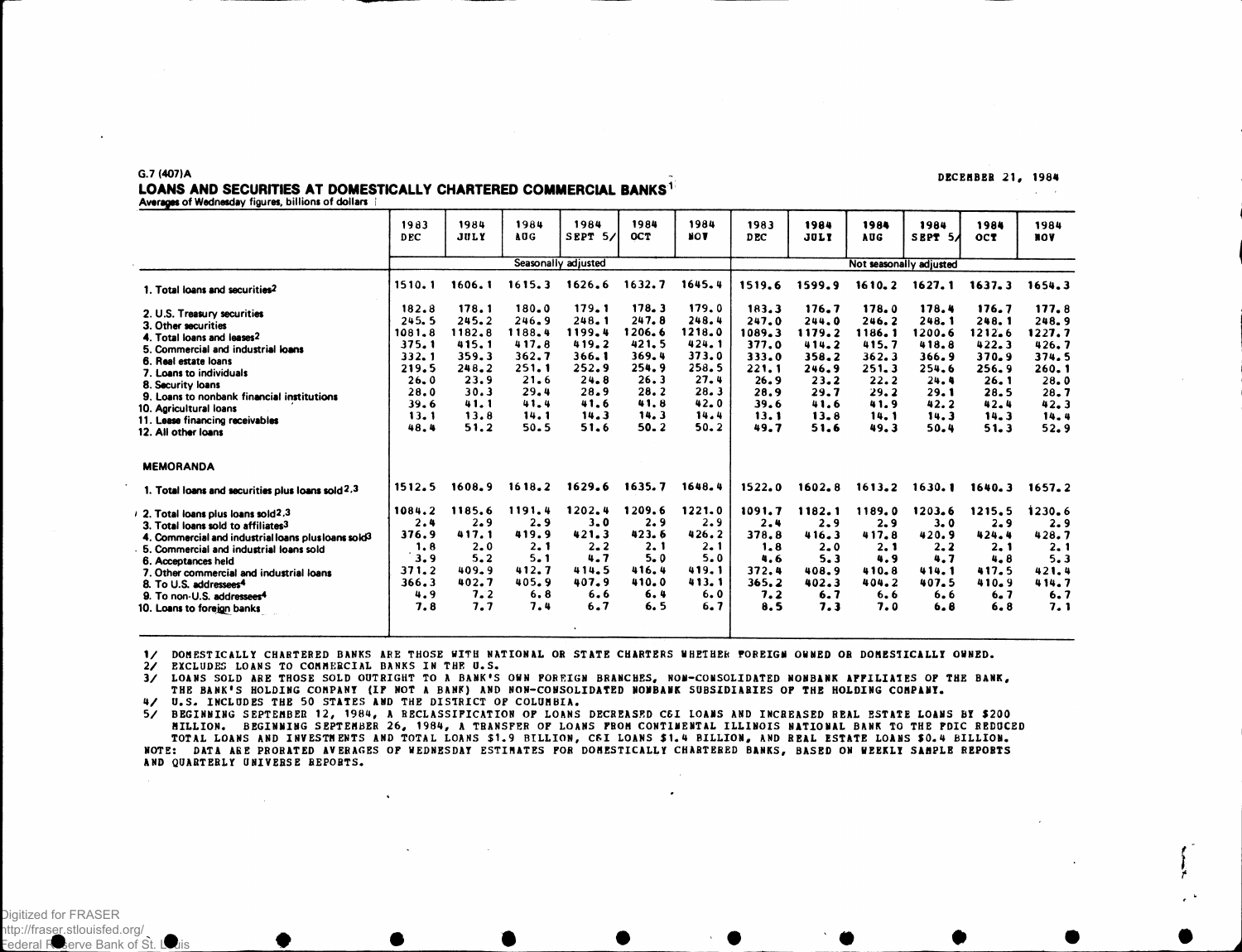#### G.7 (407)A

#### DECEMBER 21, 1984

 $\Delta \sim 10^{-10}$ 

#### LOANS AND SECURITIES AT DOMESTICALLY CHARTERED COMMERCIAL BANKS<sup>1</sup> Averages of Wednesday figures, billions of dollars

|                                                                                                                                                                                                                                                                                                                                                                                    | 1983<br><b>DEC</b>                                                                          | 1984<br><b>JULY</b>                                                                         | 1984<br>AUG                                                                                     | 1984<br>SEPT 5/                                                                             | 1984<br><b>OCT</b>                                                                          | 1984<br><b>NOV</b>                                                                          | 1983<br>D <sub>EC</sub>                                                                     | 1984<br><b>JULY</b>                                                                         | 1984<br><b>AUG</b>                                                                          | 1984<br>SEPT 54                                                                             | 1984<br>OCT                                                                                 | 1984<br><b>NOV</b>                                                                          |
|------------------------------------------------------------------------------------------------------------------------------------------------------------------------------------------------------------------------------------------------------------------------------------------------------------------------------------------------------------------------------------|---------------------------------------------------------------------------------------------|---------------------------------------------------------------------------------------------|-------------------------------------------------------------------------------------------------|---------------------------------------------------------------------------------------------|---------------------------------------------------------------------------------------------|---------------------------------------------------------------------------------------------|---------------------------------------------------------------------------------------------|---------------------------------------------------------------------------------------------|---------------------------------------------------------------------------------------------|---------------------------------------------------------------------------------------------|---------------------------------------------------------------------------------------------|---------------------------------------------------------------------------------------------|
|                                                                                                                                                                                                                                                                                                                                                                                    |                                                                                             |                                                                                             |                                                                                                 | Seasonally adjusted                                                                         |                                                                                             |                                                                                             |                                                                                             |                                                                                             |                                                                                             | Not seasonally adjusted                                                                     |                                                                                             |                                                                                             |
| 1. Total loans and securities <sup>2</sup>                                                                                                                                                                                                                                                                                                                                         | 1510.1                                                                                      | 1606.1                                                                                      | 1615.3                                                                                          | 1626.6                                                                                      | 1632.7                                                                                      | 1645.4                                                                                      | 1519.6                                                                                      | 1599.9                                                                                      | 1610.2                                                                                      | 1627.1                                                                                      | 1637.3                                                                                      | 1654.3                                                                                      |
| 2. U.S. Treasury securities<br>3. Other securities<br>4. Total loans and leases2<br>5. Commercial and industrial loans<br>6. Real estate loans<br>7. Loans to individuals<br>8. Security loans<br>9. Loans to nonbank financial institutions<br>10. Agricultural loans<br>11. Lease financing receivables<br>12. All other loans                                                   | 182.8<br>245.5<br>1081.8<br>375.1<br>332.1<br>219.5<br>26.0<br>28.0<br>39.6<br>13.1<br>48.4 | 178.1<br>245.2<br>1182.8<br>415.1<br>359.3<br>248.2<br>23.9<br>30.3<br>41.1<br>13.8<br>51.2 | $180 - 0$<br>246.9<br>1188.4<br>417.8<br>362.7<br>251.1<br>21.6<br>29.4<br>41.4<br>14.1<br>50.5 | 179.1<br>248.1<br>1199.4<br>419.2<br>366.1<br>252.9<br>24.8<br>28.9<br>41.6<br>14.3<br>51.6 | 178.3<br>247.8<br>1206.6<br>421.5<br>369.4<br>254.9<br>26.3<br>28.2<br>41.8<br>14.3<br>50.2 | 179.0<br>248.4<br>1218.0<br>424.1<br>373.0<br>258.5<br>27.4<br>28.3<br>42.0<br>14.4<br>50.2 | 183.3<br>247.0<br>1089.3<br>377.0<br>333.0<br>221.1<br>26.9<br>28.9<br>39.6<br>13.1<br>49.7 | 176.7<br>244.0<br>1179.2<br>414.2<br>358.2<br>246.9<br>23.2<br>29.7<br>41.6<br>13.8<br>51.6 | 178.0<br>246.2<br>1186.1<br>415.7<br>362.3<br>251.3<br>22.2<br>29.2<br>41.9<br>14.1<br>49.3 | 178.4<br>248.1<br>1200.6<br>418.8<br>366.9<br>254.6<br>24.4<br>29.1<br>42.2<br>14.3<br>50.4 | 176.7<br>248.1<br>1212.6<br>422.3<br>370.9<br>256.9<br>26.1<br>28.5<br>42.4<br>14.3<br>51.3 | 177.8<br>248.9<br>1227.7<br>426.7<br>374.5<br>260.1<br>28.0<br>28.7<br>42.3<br>14.4<br>52.9 |
| <b>MEMORANDA</b>                                                                                                                                                                                                                                                                                                                                                                   |                                                                                             |                                                                                             |                                                                                                 |                                                                                             |                                                                                             |                                                                                             |                                                                                             |                                                                                             |                                                                                             |                                                                                             |                                                                                             |                                                                                             |
| 1. Total loans and securities plus loans sold $2.3$                                                                                                                                                                                                                                                                                                                                | 1512.5                                                                                      | 1608.9                                                                                      | 1618.2                                                                                          | 1629.6                                                                                      | 1635.7                                                                                      | 1648.4                                                                                      | 1522.0                                                                                      | 1602.8                                                                                      | 1613.2                                                                                      | 1630.1                                                                                      | 1640.3                                                                                      | 1657.2                                                                                      |
| 2. Total loans plus loans sold2.3<br>3. Total loans sold to affiliates <sup>3</sup><br>4. Commercial and industrial loans plus loans sold <sup>3</sup><br>5. Commercial and industrial loans sold<br>6. Acceptances held<br>7. Other commercial and industrial loans<br>8. To U.S. addressees <sup>4</sup><br>9. To non-U.S. addressees <sup>4</sup><br>10. Loans to foreign banks | 1084.2<br>2.4<br>376.9<br>1.8<br>3.9<br>371.2<br>366.3<br>4.9<br>7.8                        | 1185.6<br>2.9<br>417.1<br>2.0<br>5.2<br>$409 - 9$<br>402.7<br>7.2<br>7.7                    | 1191.4<br>2.9<br>419.9<br>2.1<br>5.1<br>412.7<br>405.9<br>6.8<br>7.4                            | 1202.4<br>3.0<br>421.3<br>2.2<br>4.7<br>414.5<br>407.9<br>6.6<br>6.7                        | 1209.6<br>2.9<br>423.6<br>2.1<br>5.0<br>416.4<br>410.0<br>6.4<br>6.5                        | 1221.0<br>2.9<br>426.2<br>2.1<br>5.0<br>419.1<br>413.1<br>6.0<br>6.7                        | 1091.7<br>2.4<br>378.8<br>1.8<br>4.6<br>372.4<br>365.2<br>7.2<br>8.5                        | 1182.1<br>2.9<br>416.3<br>2.0<br>5.3<br>408.9<br>402.3<br>6.7<br>7.3                        | 1189.0<br>2.9<br>417.8<br>2.1<br>4.9<br>410.8<br>404.2<br>6.6<br>7.0                        | 1203.6<br>3.0<br>420.9<br>2.2<br>4.7<br>414.1<br>407.5<br>6.6<br>6.8                        | 1215.5<br>2.9<br>424.4<br>2.1<br>4.8<br>417.5<br>410.9<br>6.7<br>6.8                        | 1230.6<br>2.9<br>428.7<br>2.1<br>5.3<br>421.4<br>414.7<br>6.7<br>7.1                        |

1/ DOMESTICALLY CHARTERED BANKS ARE THOSE WITH NATIONAL OR STATE CHARTERS WHETHER FOREIGM OWNED OR DOMESTICALLY OWNED.

2/ EXCLUDES LOANS TO COMMERCIAL BANKS IN THE U.S.

3/ LOANS SOLD ARE THOSE SOLD OUTRIGHT TO A BANK'S OWN FOREIGN BRANCHES, NON-CONSOLIDATED NONBANK AFFILIATES OF THE BANK, THE BANK'S HOLDING COMPANY (IP NOT A BANK) AND NON-CONSOLIDATED NONBANK SUBSIDIARIES OF THE HOLDING COMPANY.

4/ U.S. INCLUDES THE 50 STATES AND THE DISTRICT OF COLUMBIA.

 $\ddot{\phantom{a}}$ 

57 BEGINNING SEPTEMBER 12, 1984, A BECLASSIFICATION OF LOANS DECREASED C&I LOANS AND INCREASED REAL ESTATE LOANS BY<br>MILLION, BEGINNING SEPTEMBER 26, 1984, A TRANSFER OF LOANS FROM CONTINENTAL ILLINOIS NATIONAL BANK TO THE TOTAL LOANS AND INVESTMENTS AND TOTAL LOANS \$1.9 BILLION, C&I LOANS \$1.4 BILLION, AND REAL ESTATE LOANS \$0.4 BILLION<br>NOTE: DATA ARE PROBATED AVERAGES OF WEDNESDAY ESTIMATES FOR DOMESTICALLY CHARTERED BANKS, BASED ON WEEKLY AND QUARTERLY UNIVERSE REPORTS.